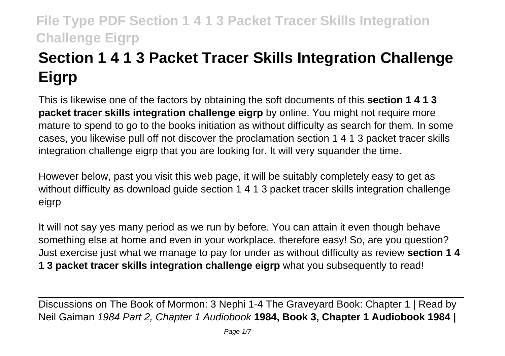# **Section 1 4 1 3 Packet Tracer Skills Integration Challenge Eigrp**

This is likewise one of the factors by obtaining the soft documents of this **section 1 4 1 3 packet tracer skills integration challenge eigrp** by online. You might not require more mature to spend to go to the books initiation as without difficulty as search for them. In some cases, you likewise pull off not discover the proclamation section 1 4 1 3 packet tracer skills integration challenge eigrp that you are looking for. It will very squander the time.

However below, past you visit this web page, it will be suitably completely easy to get as without difficulty as download quide section 1 4 1 3 packet tracer skills integration challenge eigrp

It will not say yes many period as we run by before. You can attain it even though behave something else at home and even in your workplace. therefore easy! So, are you question? Just exercise just what we manage to pay for under as without difficulty as review **section 1 4 1 3 packet tracer skills integration challenge eigrp** what you subsequently to read!

Discussions on The Book of Mormon: 3 Nephi 1-4 The Graveyard Book: Chapter 1 | Read by Neil Gaiman 1984 Part 2, Chapter 1 Audiobook **1984, Book 3, Chapter 1 Audiobook 1984 |**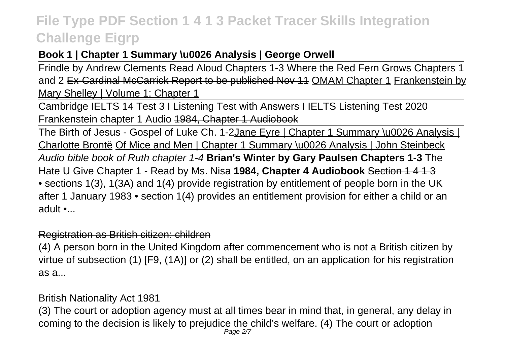# **Book 1 | Chapter 1 Summary \u0026 Analysis | George Orwell**

Frindle by Andrew Clements Read Aloud Chapters 1-3 Where the Red Fern Grows Chapters 1 and 2 Ex-Cardinal McCarrick Report to be published Nov 11 OMAM Chapter 1 Frankenstein by Mary Shelley | Volume 1: Chapter 1

Cambridge IELTS 14 Test 3 I Listening Test with Answers I IELTS Listening Test 2020 Frankenstein chapter 1 Audio 1984, Chapter 1 Audiobook

The Birth of Jesus - Gospel of Luke Ch. 1-2Jane Eyre | Chapter 1 Summary \u0026 Analysis | Charlotte Brontë Of Mice and Men | Chapter 1 Summary \u0026 Analysis | John Steinbeck Audio bible book of Ruth chapter 1-4 **Brian's Winter by Gary Paulsen Chapters 1-3** The Hate U Give Chapter 1 - Read by Ms. Nisa **1984, Chapter 4 Audiobook** Section 1 4 1 3 • sections 1(3), 1(3A) and 1(4) provide registration by entitlement of people born in the UK

after 1 January 1983 • section 1(4) provides an entitlement provision for either a child or an adult •...

### Registration as British citizen: children

(4) A person born in the United Kingdom after commencement who is not a British citizen by virtue of subsection (1) [F9, (1A)] or (2) shall be entitled, on an application for his registration as a...

#### British Nationality Act 1981

(3) The court or adoption agency must at all times bear in mind that, in general, any delay in coming to the decision is likely to prejudice the child's welfare. (4) The court or adoption Page 2/7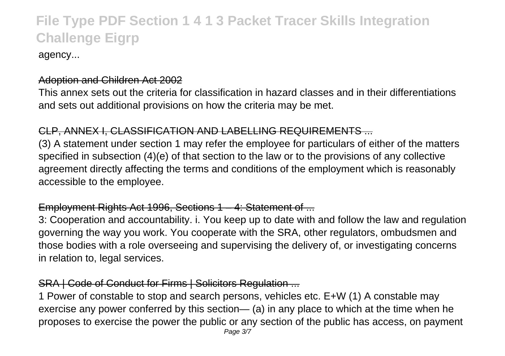#### agency...

#### Adoption and Children Act 2002

This annex sets out the criteria for classification in hazard classes and in their differentiations and sets out additional provisions on how the criteria may be met.

### CLP, ANNEX L.CLASSIFICATION AND LABELLING REQUIREMENTS

(3) A statement under section 1 may refer the employee for particulars of either of the matters specified in subsection (4)(e) of that section to the law or to the provisions of any collective agreement directly affecting the terms and conditions of the employment which is reasonably accessible to the employee.

### Employment Rights Act 1996, Sections 1 – 4: Statement of ...

3: Cooperation and accountability. i. You keep up to date with and follow the law and regulation governing the way you work. You cooperate with the SRA, other regulators, ombudsmen and those bodies with a role overseeing and supervising the delivery of, or investigating concerns in relation to, legal services.

### SRA | Code of Conduct for Firms | Solicitors Regulation ...

1 Power of constable to stop and search persons, vehicles etc. E+W (1) A constable may exercise any power conferred by this section— (a) in any place to which at the time when he proposes to exercise the power the public or any section of the public has access, on payment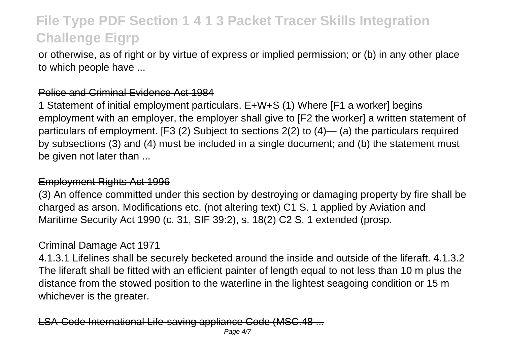or otherwise, as of right or by virtue of express or implied permission; or (b) in any other place to which people have ...

#### Police and Criminal Evidence Act 1984

1 Statement of initial employment particulars. E+W+S (1) Where [F1 a worker] begins employment with an employer, the employer shall give to [F2 the worker] a written statement of particulars of employment. [F3 (2) Subject to sections 2(2) to (4)— (a) the particulars required by subsections (3) and (4) must be included in a single document; and (b) the statement must be given not later than ...

#### Employment Rights Act 1996

(3) An offence committed under this section by destroying or damaging property by fire shall be charged as arson. Modifications etc. (not altering text) C1 S. 1 applied by Aviation and Maritime Security Act 1990 (c. 31, SIF 39:2), s. 18(2) C2 S. 1 extended (prosp.

#### Criminal Damage Act 1971

4.1.3.1 Lifelines shall be securely becketed around the inside and outside of the liferaft. 4.1.3.2 The liferaft shall be fitted with an efficient painter of length equal to not less than 10 m plus the distance from the stowed position to the waterline in the lightest seagoing condition or 15 m whichever is the greater.

Gode International Life-saving appliance Code (MSC.48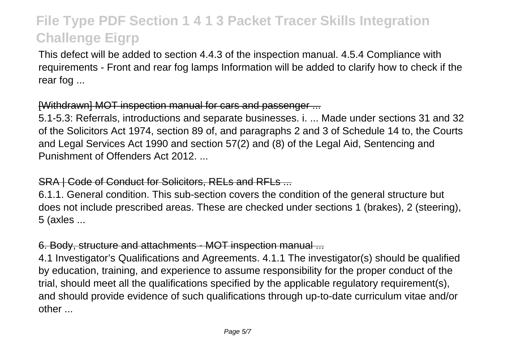This defect will be added to section 4.4.3 of the inspection manual. 4.5.4 Compliance with requirements - Front and rear fog lamps Information will be added to clarify how to check if the rear fog ...

#### [Withdrawn] MOT inspection manual for cars and passenger ...

5.1-5.3: Referrals, introductions and separate businesses. i. ... Made under sections 31 and 32 of the Solicitors Act 1974, section 89 of, and paragraphs 2 and 3 of Schedule 14 to, the Courts and Legal Services Act 1990 and section 57(2) and (8) of the Legal Aid, Sentencing and Punishment of Offenders Act 2012. ...

#### SRA | Code of Conduct for Solicitors, RELs and RFLs ...

6.1.1. General condition. This sub-section covers the condition of the general structure but does not include prescribed areas. These are checked under sections 1 (brakes), 2 (steering), 5 (axles ...

### 6. Body, structure and attachments - MOT inspection manual ...

4.1 Investigator's Qualifications and Agreements. 4.1.1 The investigator(s) should be qualified by education, training, and experience to assume responsibility for the proper conduct of the trial, should meet all the qualifications specified by the applicable regulatory requirement(s), and should provide evidence of such qualifications through up-to-date curriculum vitae and/or other ...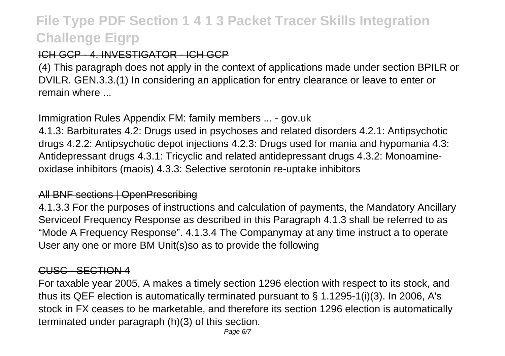## ICH GCP - 4. INVESTIGATOR - ICH GCP

(4) This paragraph does not apply in the context of applications made under section BPILR or DVILR. GEN.3.3.(1) In considering an application for entry clearance or leave to enter or remain where

# Immigration Rules Appendix FM: family members ... - gov.uk

4.1.3: Barbiturates 4.2: Drugs used in psychoses and related disorders 4.2.1: Antipsychotic drugs 4.2.2: Antipsychotic depot injections 4.2.3: Drugs used for mania and hypomania 4.3: Antidepressant drugs 4.3.1: Tricyclic and related antidepressant drugs 4.3.2: Monoamineoxidase inhibitors (maois) 4.3.3: Selective serotonin re-uptake inhibitors

## All BNF sections | OpenPrescribing

4.1.3.3 For the purposes of instructions and calculation of payments, the Mandatory Ancillary Serviceof Frequency Response as described in this Paragraph 4.1.3 shall be referred to as "Mode A Frequency Response". 4.1.3.4 The Companymay at any time instruct a to operate User any one or more BM Unit(s)so as to provide the following

### CUSC - SECTION 4

For taxable year 2005, A makes a timely section 1296 election with respect to its stock, and thus its QEF election is automatically terminated pursuant to § 1.1295-1(i)(3). In 2006, A's stock in FX ceases to be marketable, and therefore its section 1296 election is automatically terminated under paragraph (h)(3) of this section.